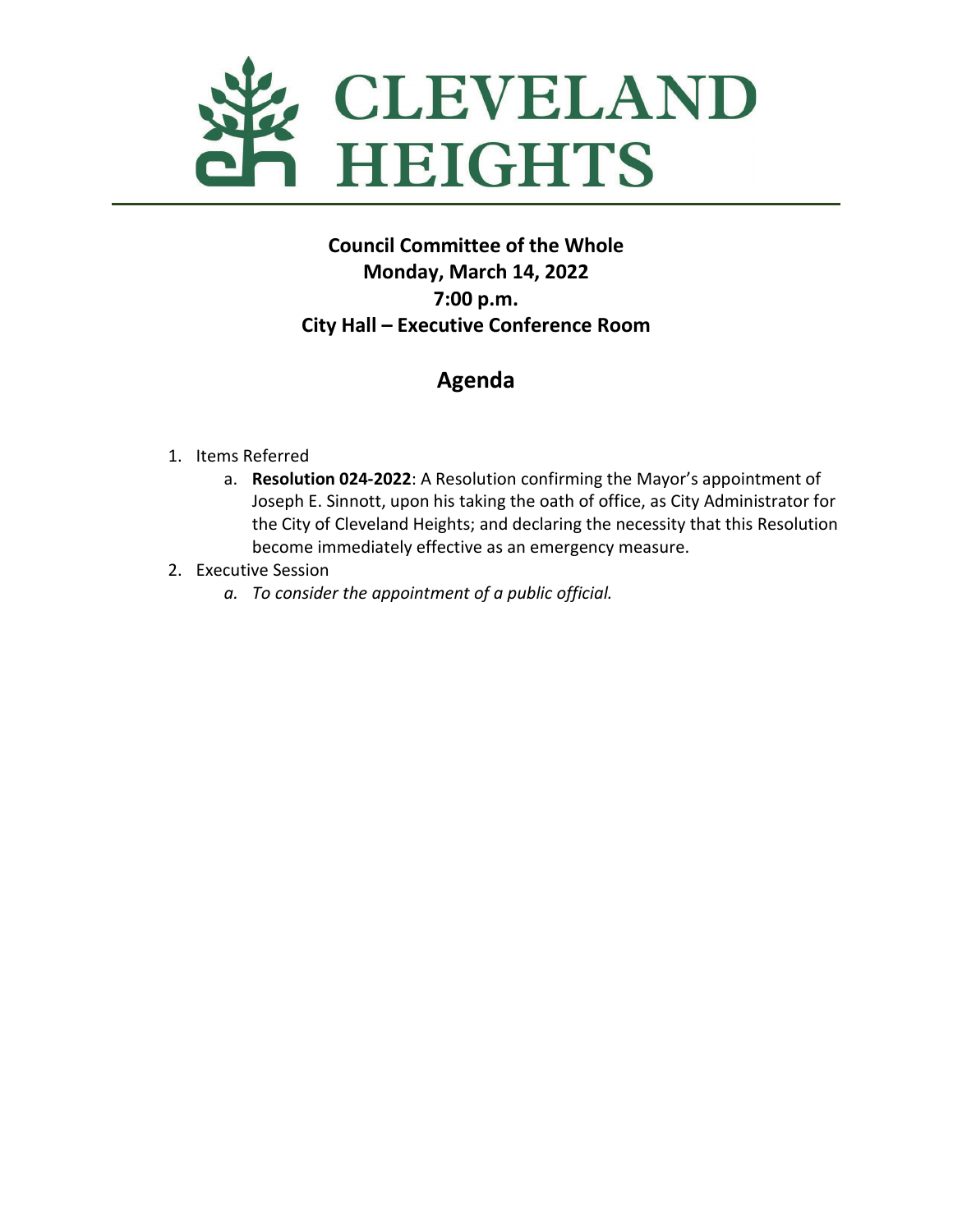

## **Council Committee of the Whole Monday, March 14, 2022 7:00 p.m. City Hall – Executive Conference Room**

# **Agenda**

- 1. Items Referred
	- a. **Resolution 024-2022**: A Resolution confirming the Mayor's appointment of Joseph E. Sinnott, upon his taking the oath of office, as City Administrator for the City of Cleveland Heights; and declaring the necessity that this Resolution become immediately effective as an emergency measure.
- 2. Executive Session
	- *a. To consider the appointment of a public official.*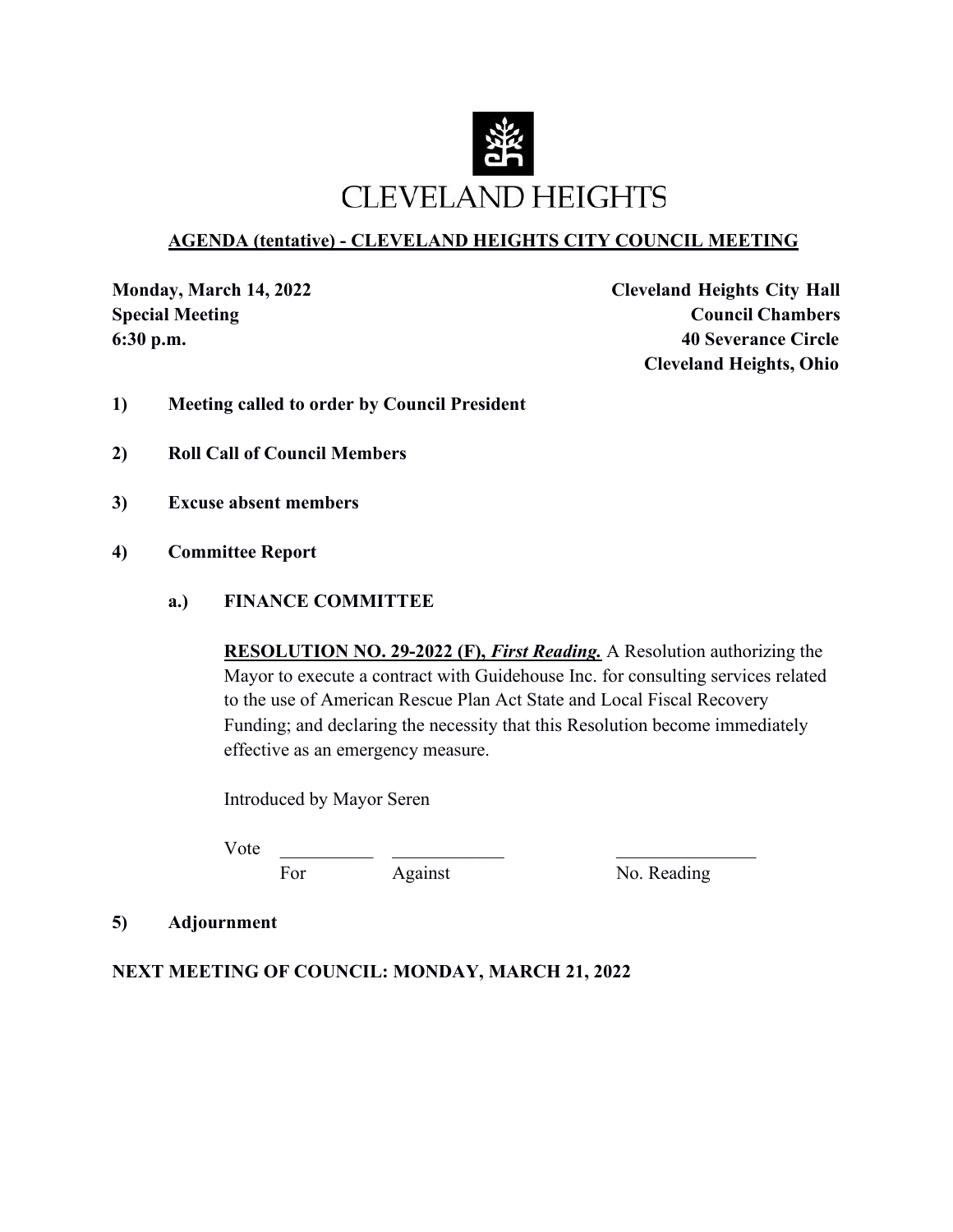

### **AGENDA (tentative) - CLEVELAND HEIGHTS CITY COUNCIL MEETING**

**Monday, March 14, 2022 Cleveland Heights City Hall Special Meeting Council Chambers Council Chambers 6:30 p.m. 40 Severance Circle Cleveland Heights, Ohio**

- **1) Meeting called to order by Council President**
- **2) Roll Call of Council Members**
- **3) Excuse absent members**
- **4) Committee Report**

#### **a.) FINANCE COMMITTEE**

**RESOLUTION NO. 29-2022 (F),** *First Reading.* A Resolution authorizing the Mayor to execute a contract with Guidehouse Inc. for consulting services related to the use of American Rescue Plan Act State and Local Fiscal Recovery Funding; and declaring the necessity that this Resolution become immediately effective as an emergency measure.

Introduced by Mayor Seren

Vote \_\_\_\_\_\_\_\_\_\_ \_\_\_\_\_\_\_\_\_\_\_\_ \_\_\_\_\_\_\_\_\_\_\_\_\_\_\_

For Against No. Reading

#### **5) Adjournment**

#### **NEXT MEETING OF COUNCIL: MONDAY, MARCH 21, 2022**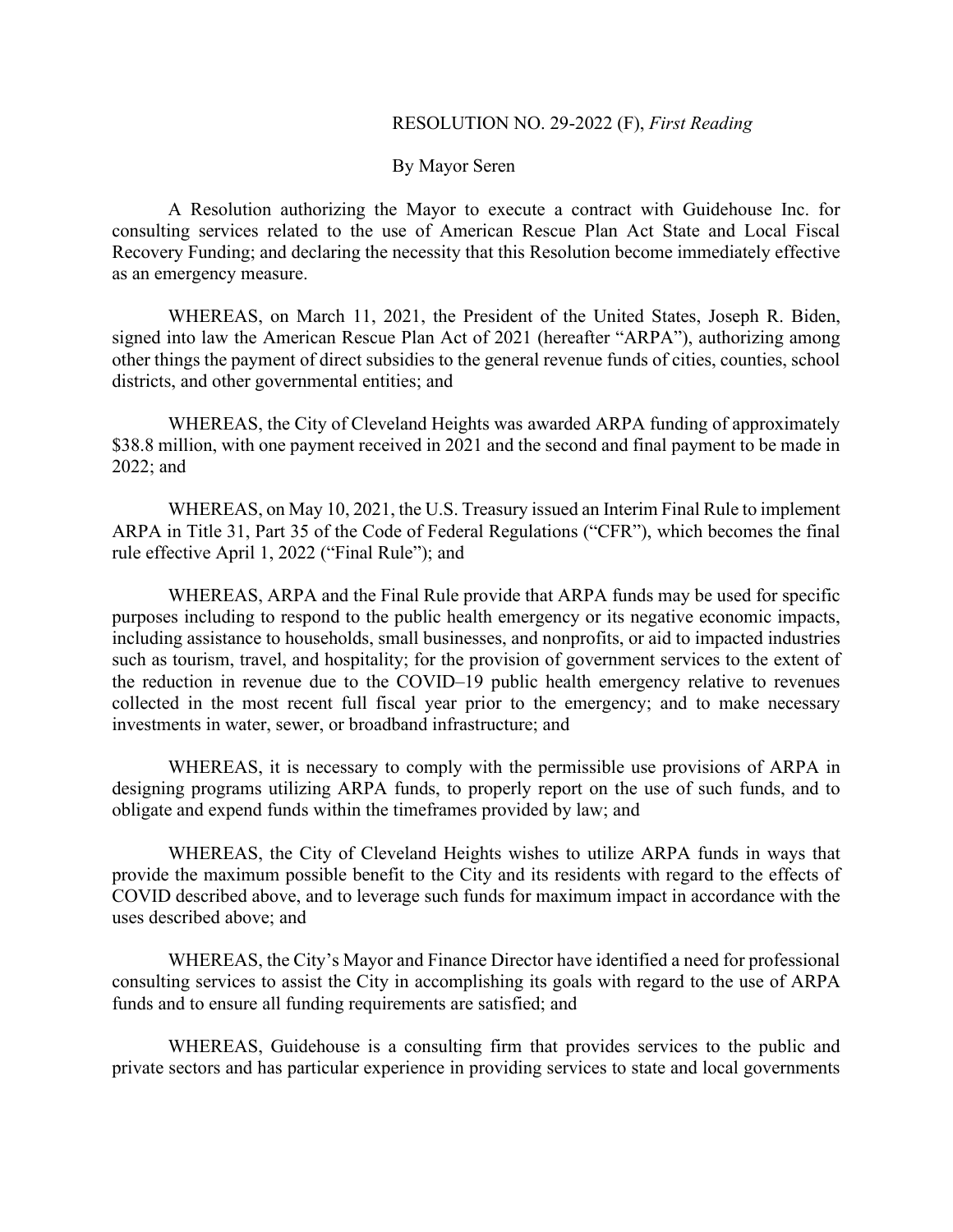#### RESOLUTION NO. 29-2022 (F), *First Reading*

By Mayor Seren

A Resolution authorizing the Mayor to execute a contract with Guidehouse Inc. for consulting services related to the use of American Rescue Plan Act State and Local Fiscal Recovery Funding; and declaring the necessity that this Resolution become immediately effective as an emergency measure.

WHEREAS, on March 11, 2021, the President of the United States, Joseph R. Biden, signed into law the American Rescue Plan Act of 2021 (hereafter "ARPA"), authorizing among other things the payment of direct subsidies to the general revenue funds of cities, counties, school districts, and other governmental entities; and

WHEREAS, the City of Cleveland Heights was awarded ARPA funding of approximately \$38.8 million, with one payment received in 2021 and the second and final payment to be made in 2022; and

WHEREAS, on May 10, 2021, the U.S. Treasury issued an Interim Final Rule to implement ARPA in Title 31, Part 35 of the Code of Federal Regulations ("CFR"), which becomes the final rule effective April 1, 2022 ("Final Rule"); and

WHEREAS, ARPA and the Final Rule provide that ARPA funds may be used for specific purposes including to respond to the public health emergency or its negative economic impacts, including assistance to households, small businesses, and nonprofits, or aid to impacted industries such as tourism, travel, and hospitality; for the provision of government services to the extent of the reduction in revenue due to the COVID–19 public health emergency relative to revenues collected in the most recent full fiscal year prior to the emergency; and to make necessary investments in water, sewer, or broadband infrastructure; and

WHEREAS, it is necessary to comply with the permissible use provisions of ARPA in designing programs utilizing ARPA funds, to properly report on the use of such funds, and to obligate and expend funds within the timeframes provided by law; and

WHEREAS, the City of Cleveland Heights wishes to utilize ARPA funds in ways that provide the maximum possible benefit to the City and its residents with regard to the effects of COVID described above, and to leverage such funds for maximum impact in accordance with the uses described above; and

WHEREAS, the City's Mayor and Finance Director have identified a need for professional consulting services to assist the City in accomplishing its goals with regard to the use of ARPA funds and to ensure all funding requirements are satisfied; and

WHEREAS, Guidehouse is a consulting firm that provides services to the public and private sectors and has particular experience in providing services to state and local governments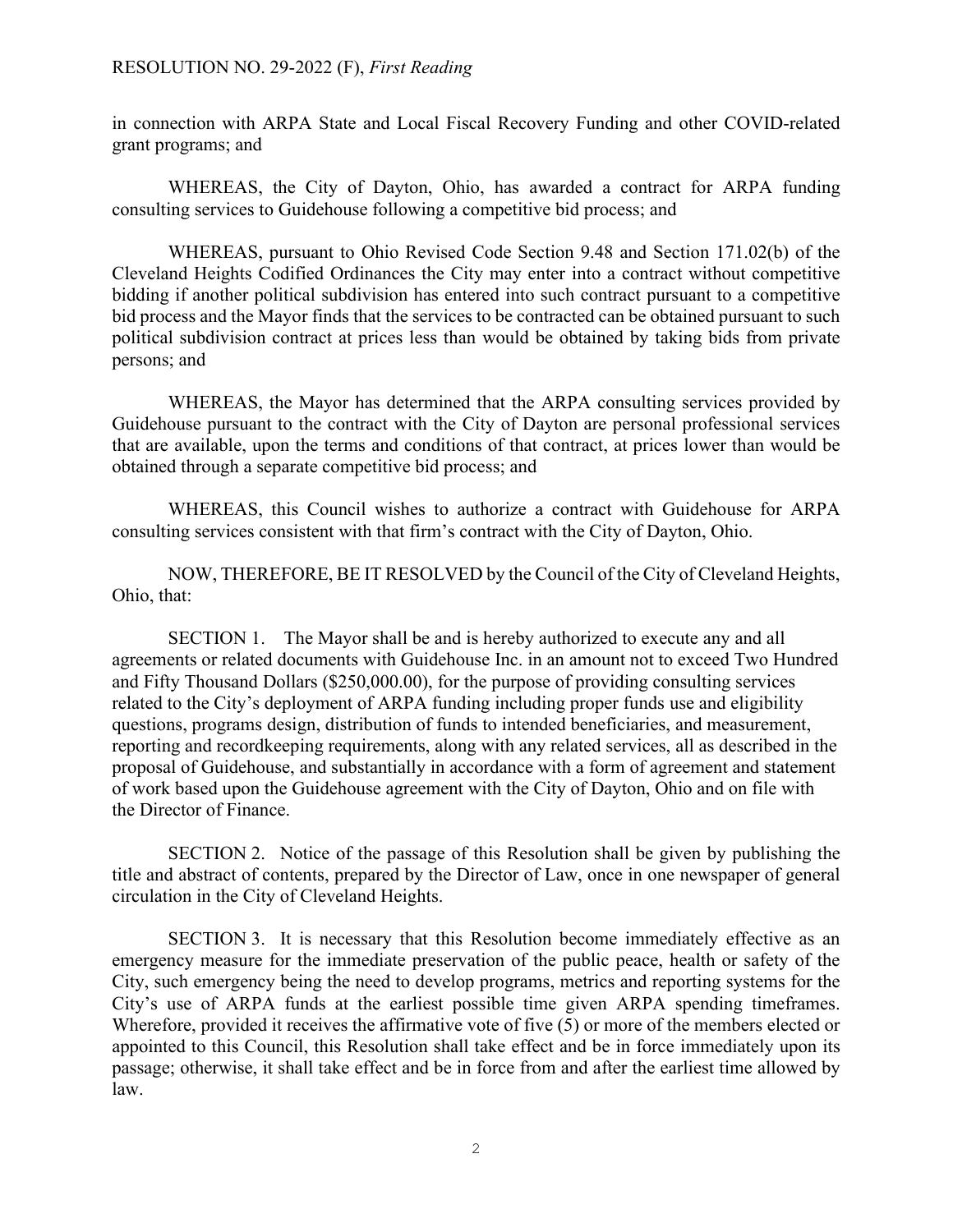in connection with ARPA State and Local Fiscal Recovery Funding and other COVID-related grant programs; and

WHEREAS, the City of Dayton, Ohio, has awarded a contract for ARPA funding consulting services to Guidehouse following a competitive bid process; and

WHEREAS, pursuant to Ohio Revised Code Section 9.48 and Section 171.02(b) of the Cleveland Heights Codified Ordinances the City may enter into a contract without competitive bidding if another political subdivision has entered into such contract pursuant to a competitive bid process and the Mayor finds that the services to be contracted can be obtained pursuant to such political subdivision contract at prices less than would be obtained by taking bids from private persons; and

WHEREAS, the Mayor has determined that the ARPA consulting services provided by Guidehouse pursuant to the contract with the City of Dayton are personal professional services that are available, upon the terms and conditions of that contract, at prices lower than would be obtained through a separate competitive bid process; and

WHEREAS, this Council wishes to authorize a contract with Guidehouse for ARPA consulting services consistent with that firm's contract with the City of Dayton, Ohio.

NOW, THEREFORE, BE IT RESOLVED by the Council of the City of Cleveland Heights, Ohio, that:

SECTION 1. The Mayor shall be and is hereby authorized to execute any and all agreements or related documents with Guidehouse Inc. in an amount not to exceed Two Hundred and Fifty Thousand Dollars (\$250,000.00), for the purpose of providing consulting services related to the City's deployment of ARPA funding including proper funds use and eligibility questions, programs design, distribution of funds to intended beneficiaries, and measurement, reporting and recordkeeping requirements, along with any related services, all as described in the proposal of Guidehouse, and substantially in accordance with a form of agreement and statement of work based upon the Guidehouse agreement with the City of Dayton, Ohio and on file with the Director of Finance.

SECTION 2. Notice of the passage of this Resolution shall be given by publishing the title and abstract of contents, prepared by the Director of Law, once in one newspaper of general circulation in the City of Cleveland Heights.

SECTION 3. It is necessary that this Resolution become immediately effective as an emergency measure for the immediate preservation of the public peace, health or safety of the City, such emergency being the need to develop programs, metrics and reporting systems for the City's use of ARPA funds at the earliest possible time given ARPA spending timeframes. Wherefore, provided it receives the affirmative vote of five (5) or more of the members elected or appointed to this Council, this Resolution shall take effect and be in force immediately upon its passage; otherwise, it shall take effect and be in force from and after the earliest time allowed by law.